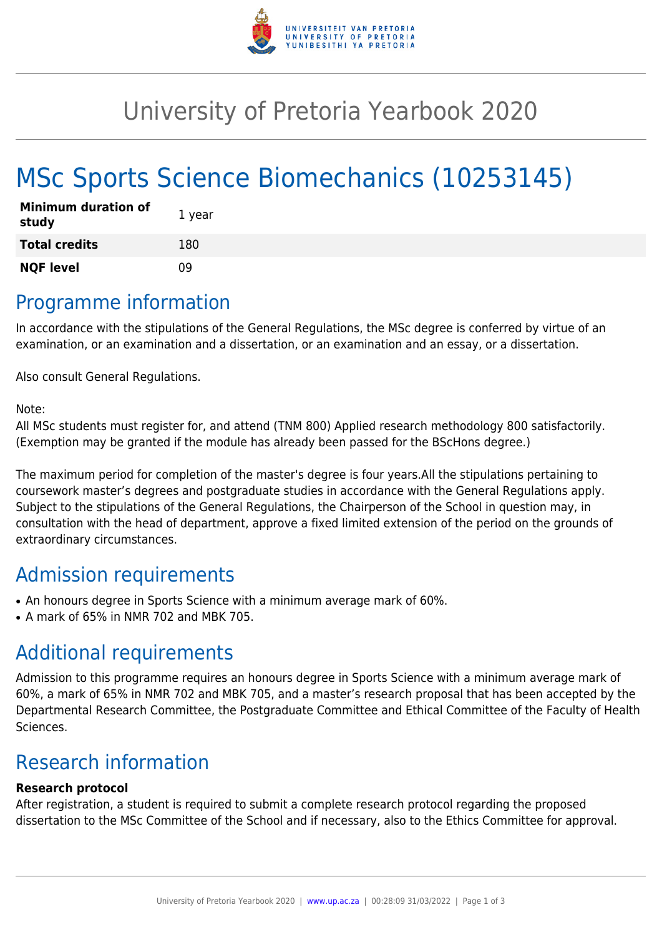

## University of Pretoria Yearbook 2020

# MSc Sports Science Biomechanics (10253145)

| <b>Minimum duration of</b><br>study | 1 year |
|-------------------------------------|--------|
| <b>Total credits</b>                | 180    |
| <b>NQF level</b>                    | n۹     |

### Programme information

In accordance with the stipulations of the General Regulations, the MSc degree is conferred by virtue of an examination, or an examination and a dissertation, or an examination and an essay, or a dissertation.

Also consult General Regulations.

Note:

All MSc students must register for, and attend (TNM 800) Applied research methodology 800 satisfactorily. (Exemption may be granted if the module has already been passed for the BScHons degree.)

The maximum period for completion of the master's degree is four years.All the stipulations pertaining to coursework master's degrees and postgraduate studies in accordance with the General Regulations apply. Subject to the stipulations of the General Regulations, the Chairperson of the School in question may, in consultation with the head of department, approve a fixed limited extension of the period on the grounds of extraordinary circumstances.

### Admission requirements

- An honours degree in Sports Science with a minimum average mark of 60%.
- $\bullet$  A mark of 65% in NMR 702 and MBK 705.

### Additional requirements

Admission to this programme requires an honours degree in Sports Science with a minimum average mark of 60%, a mark of 65% in NMR 702 and MBK 705, and a master's research proposal that has been accepted by the Departmental Research Committee, the Postgraduate Committee and Ethical Committee of the Faculty of Health Sciences.

### Research information

#### **Research protocol**

After registration, a student is required to submit a complete research protocol regarding the proposed dissertation to the MSc Committee of the School and if necessary, also to the Ethics Committee for approval.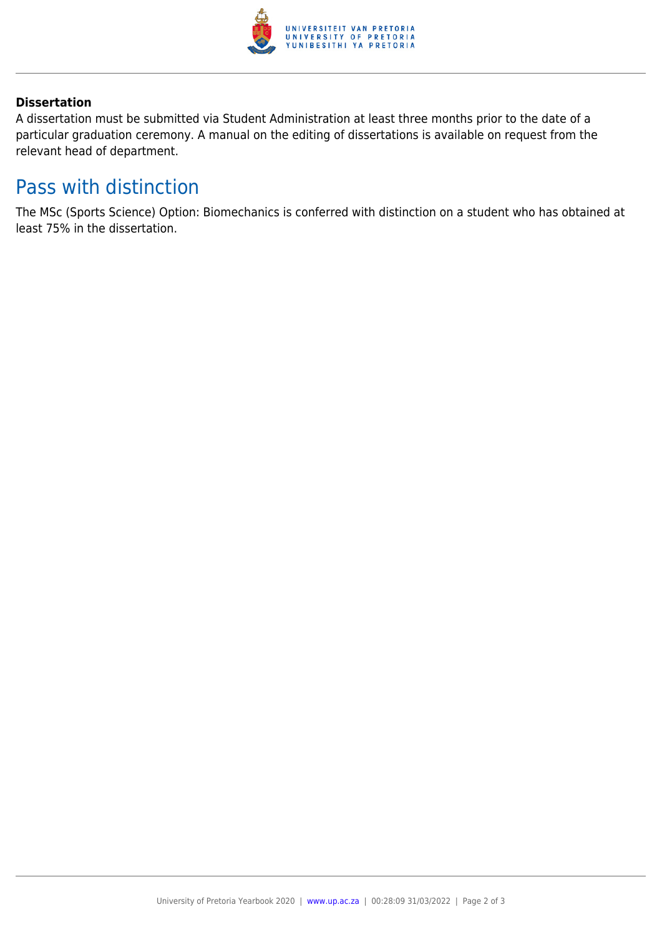

#### **Dissertation**

A dissertation must be submitted via Student Administration at least three months prior to the date of a particular graduation ceremony. A manual on the editing of dissertations is available on request from the relevant head of department.

### Pass with distinction

The MSc (Sports Science) Option: Biomechanics is conferred with distinction on a student who has obtained at least 75% in the dissertation.